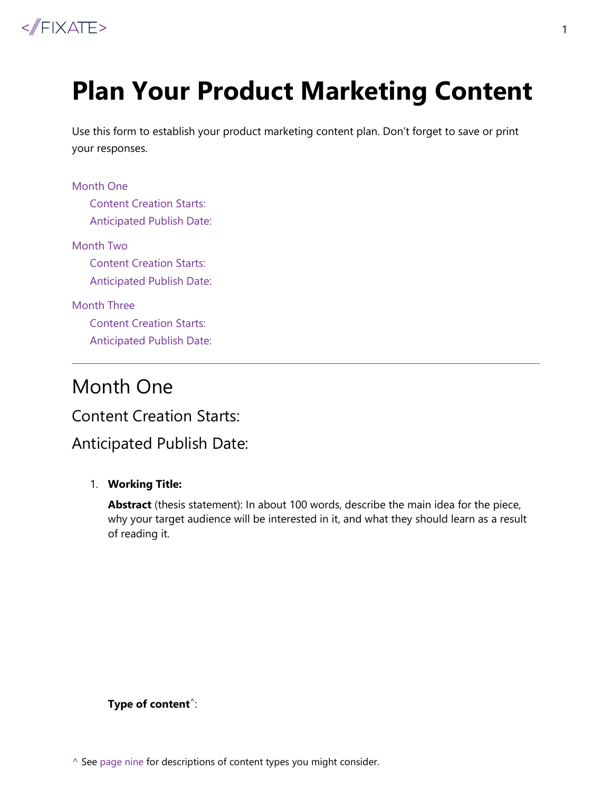

# **Plan Your Product Marketing Content**

Use this form to establish your product marketing content plan. Don't forget to save or print your responses.

#### [Month One](#page-0-0)

[Content Creation Starts:](#page-0-1)  [Anticipated Publish Date:](#page-0-2)

[Month Two](#page-2-0)

[Content Creation Starts:](#page-2-1)  [Anticipated Publish Date:](#page-2-2) 

[Month Three](#page-5-0)

[Content Creation Starts:](#page-5-1)  [Anticipated Publish Date:](#page-5-2) 

# <span id="page-0-0"></span>Month One

### <span id="page-0-1"></span>Content Creation Starts:

# <span id="page-0-2"></span>Anticipated Publish Date:

#### 1. **Working Title:**

**Abstract** (thesis statement): In about 100 words, describe the main idea for the piece, why your target audience will be interested in it, and what they should learn as a result of reading it.

**Type of content ^**:

1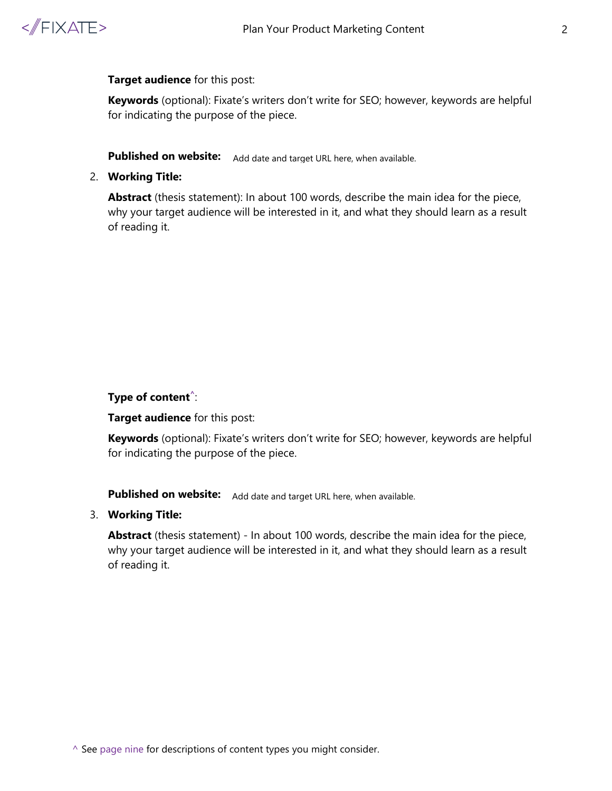

#### **Target audience** for this post:

**Keywords** (optional): Fixate's writers don't write for SEO; however, keywords are helpful for indicating the purpose of the piece.

Published on website: Add date and target URL here, when available.

2. **Working Title:** 

**Abstract** (thesis statement): In about 100 words, describe the main idea for the piece, why your target audience will be interested in it, and what they should learn as a result of reading it.

#### **Type of content^**:

**Target audience** for this post:

**Keywords** (optional): Fixate's writers don't write for SEO; however, keywords are helpful for indicating the purpose of the piece.

**Published on website:** Add date and target URL here, when available.

#### 3. **Working Title:**

**Abstract** (thesis statement) - In about 100 words, describe the main idea for the piece, why your target audience will be interested in it, and what they should learn as a result of reading it.

 $\wedge$  See [page nine](#page-8-0) for descriptions of content types you might consider.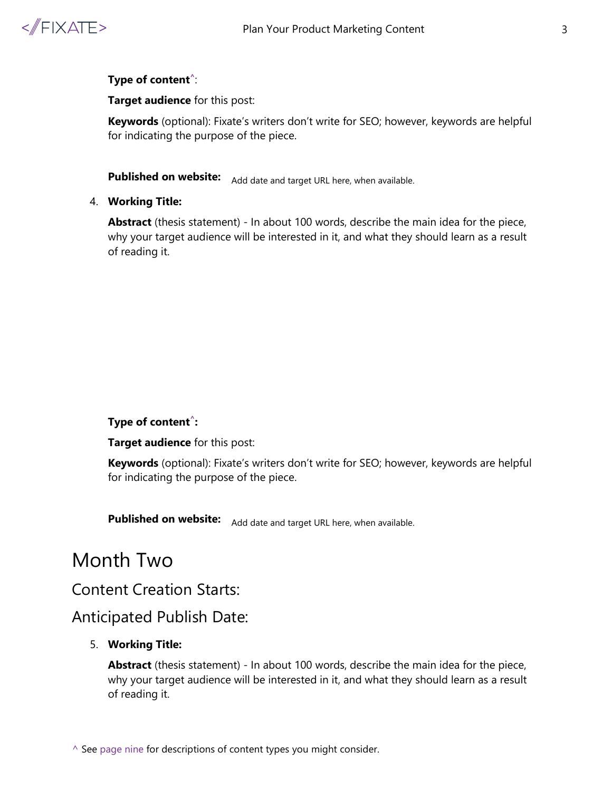

**Target audience** for this post:

**Keywords** (optional): Fixate's writers don't write for SEO; however, keywords are helpful for indicating the purpose of the piece.

**Published on website:** Add date and target URL here, when available.

4. **Working Title:** 

**Abstract** (thesis statement) - In about 100 words, describe the main idea for the piece, why your target audience will be interested in it, and what they should learn as a result of reading it.

#### **Type of content^:**

**Target audience** for this post:

**Keywords** (optional): Fixate's writers don't write for SEO; however, keywords are helpful for indicating the purpose of the piece.

**Published on website:** Add date and target URL here, when available.

# <span id="page-2-0"></span>Month Two

# <span id="page-2-1"></span>Content Creation Starts:

# <span id="page-2-2"></span>Anticipated Publish Date:

#### 5. **Working Title:**

**Abstract** (thesis statement) - In about 100 words, describe the main idea for the piece, why your target audience will be interested in it, and what they should learn as a result of reading it.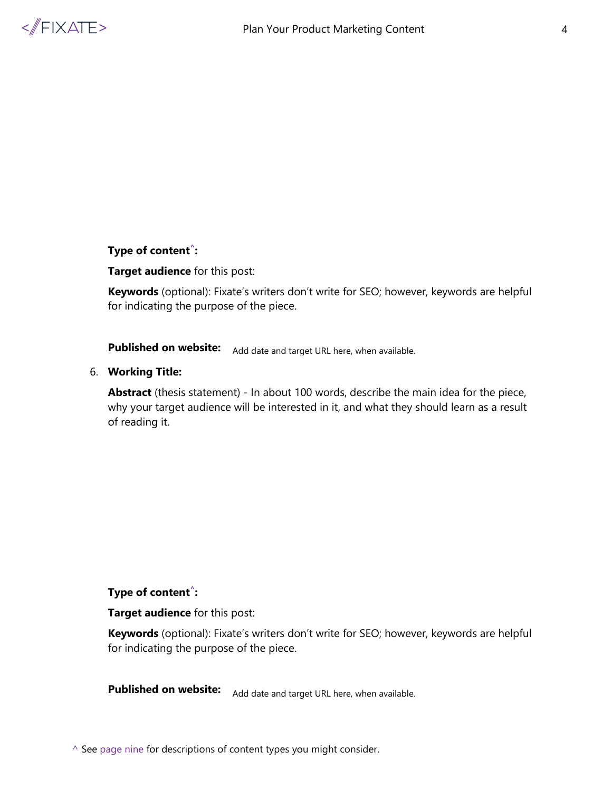

#### **Target audience** for this post:

**Keywords** (optional): Fixate's writers don't write for SEO; however, keywords are helpful for indicating the purpose of the piece.

**Published on website:** Add date and target URL here, when available.

#### 6. **Working Title:**

**Abstract** (thesis statement) - In about 100 words, describe the main idea for the piece, why your target audience will be interested in it, and what they should learn as a result of reading it.

#### **Type of content^:**

**Target audience** for this post:

**Keywords** (optional): Fixate's writers don't write for SEO; however, keywords are helpful for indicating the purpose of the piece.

**Published on website:** Add date and target URL here, when available.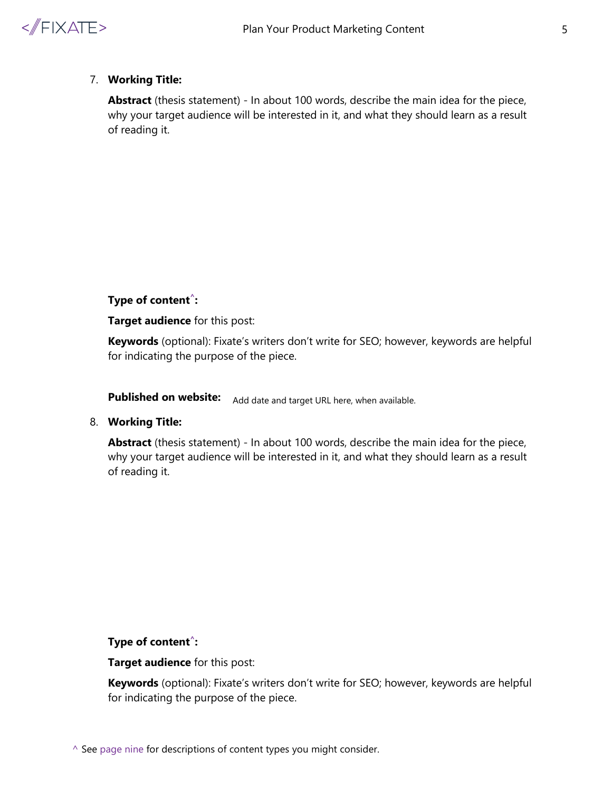

#### 7. **Working Title:**

**Abstract** (thesis statement) - In about 100 words, describe the main idea for the piece, why your target audience will be interested in it, and what they should learn as a result of reading it.

#### **Type of content^:**

**Target audience** for this post:

**Keywords** (optional): Fixate's writers don't write for SEO; however, keywords are helpful for indicating the purpose of the piece.

**Published on website:** Add date and target URL here, when available.

#### 8. **Working Title:**

**Abstract** (thesis statement) - In about 100 words, describe the main idea for the piece, why your target audience will be interested in it, and what they should learn as a result of reading it.

#### **Type of content^:**

**Target audience** for this post:

**Keywords** (optional): Fixate's writers don't write for SEO; however, keywords are helpful for indicating the purpose of the piece.

 $\wedge$  See [page nine](#page-8-0) for descriptions of content types you might consider.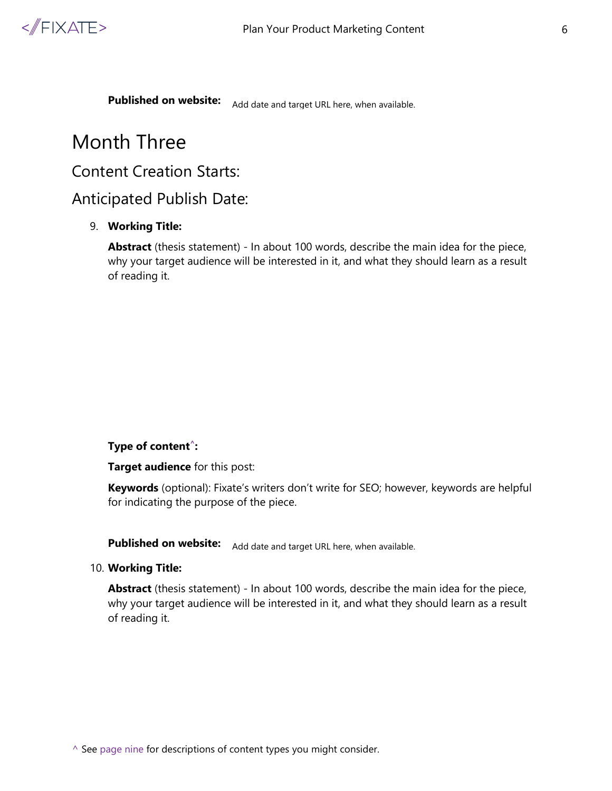

**Published on website:** Add date and target URL here, when available.

# <span id="page-5-0"></span>Month Three

# <span id="page-5-1"></span>Content Creation Starts:

### <span id="page-5-2"></span>Anticipated Publish Date:

#### 9. **Working Title:**

**Abstract** (thesis statement) - In about 100 words, describe the main idea for the piece, why your target audience will be interested in it, and what they should learn as a result of reading it.

#### **Type of content^:**

**Target audience** for this post:

**Keywords** (optional): Fixate's writers don't write for SEO; however, keywords are helpful for indicating the purpose of the piece.

**Published on website:** Add date and target URL here, when available.

10. **Working Title:** 

**Abstract** (thesis statement) - In about 100 words, describe the main idea for the piece, why your target audience will be interested in it, and what they should learn as a result of reading it.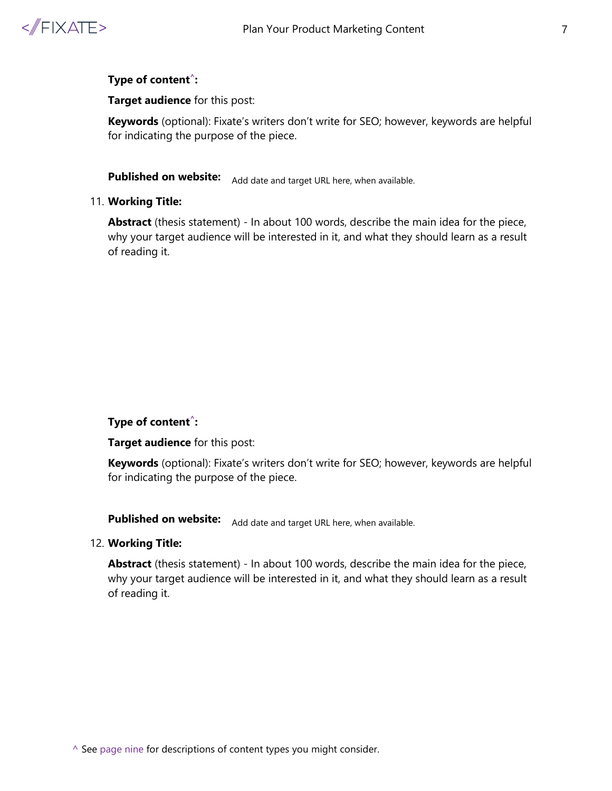

**Target audience** for this post:

**Keywords** (optional): Fixate's writers don't write for SEO; however, keywords are helpful for indicating the purpose of the piece.

**Published on website:** Add date and target URL here, when available.

#### 11. **Working Title:**

**Abstract** (thesis statement) - In about 100 words, describe the main idea for the piece, why your target audience will be interested in it, and what they should learn as a result of reading it.

#### **Type of content^:**

**Target audience** for this post:

**Keywords** (optional): Fixate's writers don't write for SEO; however, keywords are helpful for indicating the purpose of the piece.

**Published on website:** Add date and target URL here, when available.

#### 12. **Working Title:**

**Abstract** (thesis statement) - In about 100 words, describe the main idea for the piece, why your target audience will be interested in it, and what they should learn as a result of reading it.

 $\wedge$  See [page nine](#page-8-0) for descriptions of content types you might consider.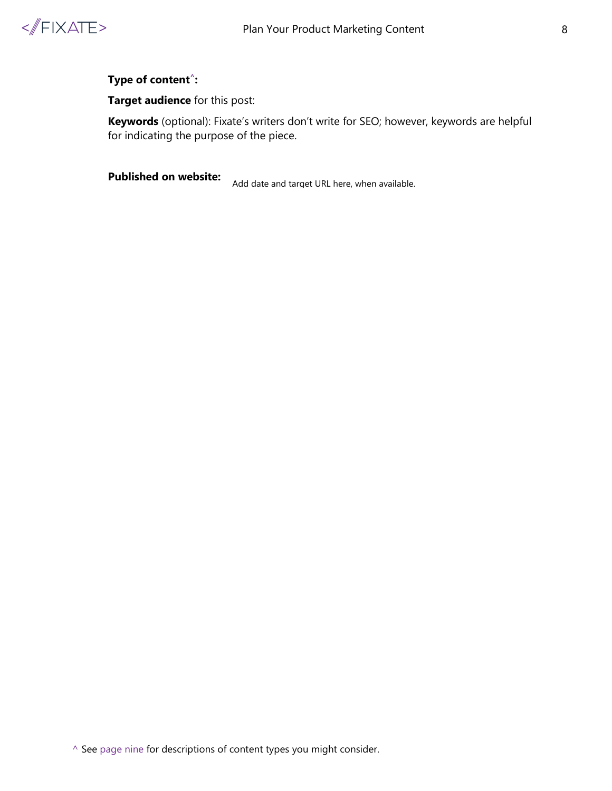

**Target audience** for this post:

**Keywords** (optional): Fixate's writers don't write for SEO; however, keywords are helpful for indicating the purpose of the piece.

**Published on website:**

Add date and target URL here, when available.

^ See [page nine](#page-8-0) for descriptions of content types you might consider.